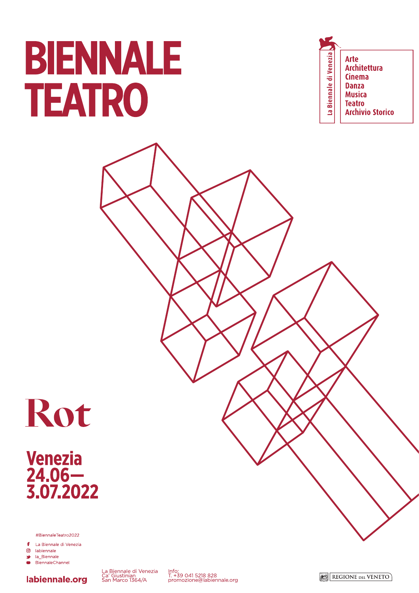# BIENNALE TEATRO

La Biennale di Venezia **Arte Architettura Cinema Danza Musica Teatro Archivio Storico** 



Venezia<br>24.06—<br>3.07.2022

#BiennaleTeatro2022

£ La Biennale di Venezia

labiennale.org

ම labiennale

**SP** la Biennale BiennaleChannel  $\blacksquare$ 



Info:<br>T. +39 041 5218 828<br>promozione@labiennale.org

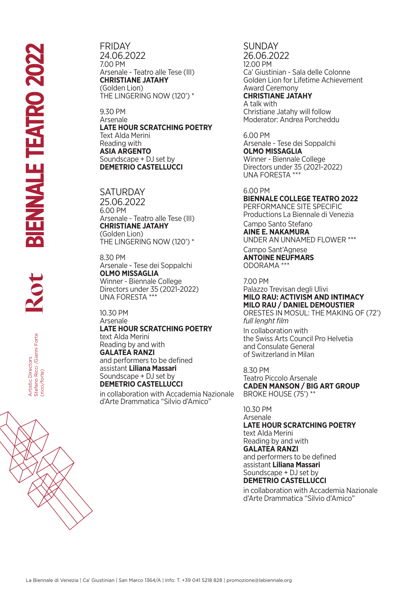FRIDAY 24.06.2022 7.00 PM Arsenale - Teatro alle Tese (III) **CHRISTIANE JATAHY** (Golden Lion) THE LINGERING NOW (120') \*

9.30 PM Arsenale **LATE HOUR SCRATCHING POETRY** Text Alda Merini Reading with **ASIA ARGENTO** Soundscape + DJ set by **DEMETRIO CASTELLUCCI**

**SATURDAY** 25.06.2022 6.00 PM Arsenale - Teatro alle Tese (III) **CHRISTIANE JATAHY** (Golden Lion) THE LINGERING NOW (120') \*

8.30 PM Arsenale - Tese dei Soppalchi **OLMO MISSAGLIA** Winner - Biennale College Directors under 35 (2021-2022) UNA FORESTA \*\*\*

10.30 PM Arsenale **LATE HOUR SCRATCHING POETRY** text Alda Merini Reading by and with **GALATEA RANZI**  and performers to be defined assistant **Liliana Massari** Soundscape + DJ set by **DEMETRIO CASTELLUCCI** Exact Aldres Merchinics (and Merica)<br>
Free Artistic Constant Lillian Massari<br>
Soundscape + DJ set by defined<br>
San Marco 1364/A | Info: The CASTELLUCCI<br>
The MERIRIO CASTELLUCCI<br>
In collaboration with Accademia Nazionale<br>
Sa

in collaboration with Accademia Nazionale d'Arte Drammatica "Silvio d'Amico"

SUNDAY 26.06.2022 12.00 PM Ca' Giustinian - Sala delle Colonne Golden Lion for Lifetime Achievement Award Ceremony **CHRISTIANE JATAHY** A talk with

Christiane Jatahy will follow Moderator: Andrea Porcheddu

6.00 PM Arsenale - Tese dei Soppalchi **OLMO MISSAGLIA** Winner - Biennale College Directors under 35 (2021-2022) UNA FORESTA \*\*\*

6.00 PM **BIENNALE COLLEGE TEATRO 2022**  PERFORMANCE SITE SPECIFIC Productions La Biennale di Venezia

Campo Santo Stefano **AINE E. NAKAMURA**

UNDER AN UNNAMED FLOWER \*\*\* Campo Sant'Agnese

**ANTOINE NEUFMARS** ODORAMA \*\*\*

7.00 PM Palazzo Trevisan degli Ulivi **MILO RAU: ACTIVISM AND INTIMACY MILO RAU / DANIEL DEMOUSTIER** ORESTES IN MOSUL: THE MAKING OF (72')

*full lenght film* In collaboration with the Swiss Arts Council Pro Helvetia and Consulate General of Switzerland in Milan

8.30 PM Teatro Piccolo Arsenale **CADEN MANSON / BIG ART GROUP**  BROKE HOUSE (75') \*\*

10.30 PM Arsenale

**LATE HOUR SCRATCHING POETRY** text Alda Merini Reading by and with **GALATEA RANZI**  and performers to be defined assistant **Liliana Massari**

Soundscape + DJ set by **DEMETRIO CASTELLUCCI**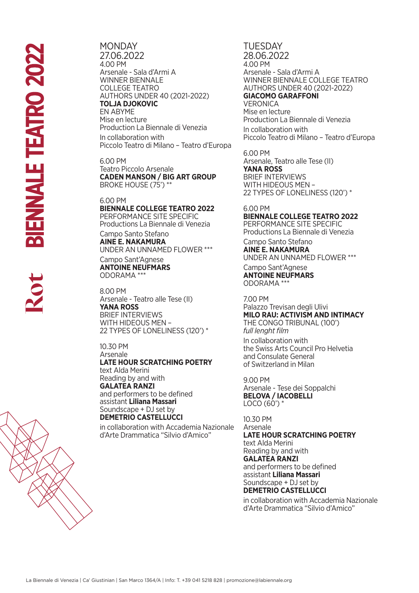**MONDAY** 27.06.2022 4.00 PM Arsenale - Sala d'Armi A WINNER BIENNALE COLLEGE TEATRO AUTHORS UNDER 40 (2021-2022) **TOLJA DJOKOVIC** EN ABYME Mise en lecture Production La Biennale di Venezia In collaboration with Piccolo Teatro di Milano – Teatro d'Europa

6.00 PM Teatro Piccolo Arsenale **CADEN MANSON / BIG ART GROUP**  BROKE HOUSE (75') \*\*

#### 6.00 PM

### **BIENNALE COLLEGE TEATRO 2022**  PERFORMANCE SITE SPECIFIC

Productions La Biennale di Venezia Campo Santo Stefano

**AINE E. NAKAMURA** UNDER AN UNNAMED FLOWER \*\*\*

Campo Sant'Agnese **ANTOINE NEUFMARS** ODORAMA \*\*\*

8.00 PM Arsenale - Teatro alle Tese (II) **YANA ROSS** BRIEF INTERVIEWS WITH HIDEOUS MEN – 22 TYPES OF LONELINESS (120') \*

## 10.30 PM Arsenale **LATE HOUR SCRATCHING POETRY** text Alda Merini Reading by and with

**GALATEA RANZI**  and performers to be defined assistant **Liliana Massari** Soundscape + DJ set by **DEMETRIO CASTELLUCCI**

in collaboration with Accademia Nazionale d'Arte Drammatica "Silvio d'Amico"

**TUESDAY** 28.06.2022 4.00 PM Arsenale - Sala d'Armi A WINNER BIENNALE COLLEGE TEATRO AUTHORS UNDER 40 (2021-2022) **GIACOMO GARAFFONI** VERONICA Mise en lecture Production La Biennale di Venezia In collaboration with Piccolo Teatro di Milano – Teatro d'Europa

6.00 PM Arsenale, Teatro alle Tese (II) **YANA ROSS** BRIEF INTERVIEWS WITH HIDEOUS MEN – 22 TYPES OF LONELINESS (120') \*

## 6.00 PM

**BIENNALE COLLEGE TEATRO 2022**  PERFORMANCE SITE SPECIFIC Productions La Biennale di Venezia Campo Santo Stefano **AINE E. NAKAMURA**

UNDER AN UNNAMED FLOWER \*\*\*

Campo Sant'Agnese **ANTOINE NEUFMARS** ODORAMA \*\*\*

7.00 PM

Palazzo Trevisan degli Ulivi **MILO RAU: ACTIVISM AND INTIMACY** THE CONGO TRIBUNAL (100') *full lenght film*

In collaboration with the Swiss Arts Council Pro Helvetia and Consulate General of Switzerland in Milan

9.00 PM Arsenale - Tese dei Soppalchi **BELOVA / IACOBELLI** LOCO (60') \*

10.30 PM Arsenale **LATE HOUR SCRATCHING POETRY** text Alda Merini Reading by and with **GALATEA RANZI**  and performers to be defined assistant **Liliana Massari** Soundscape + DJ set by **DEMETRIO CASTELLUCCI**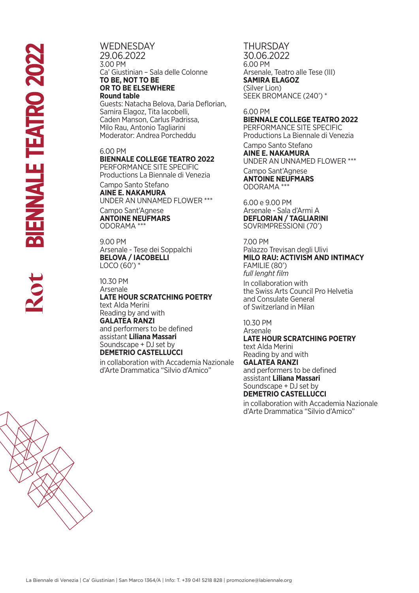**WEDNESDAY** 29.06.2022 3.00 PM Ca' Giustinian – Sala delle Colonne **TO BE, NOT TO BE OR TO BE ELSEWHERE Round table**  Guests: Natacha Belova, Daria Deflorian,

Samira Elagoz, Tita Iacobelli, Caden Manson, Carlus Padrissa, Milo Rau, Antonio Tagliarini Moderator: Andrea Porcheddu

## 6.00 PM

## **BIENNALE COLLEGE TEATRO 2022**

PERFORMANCE SITE SPECIFIC Productions La Biennale di Venezia

Campo Santo Stefano **AINE E. NAKAMURA** UNDER AN UNNAMED FLOWER \*\*\*

Campo Sant'Agnese **ANTOINE NEUFMARS** ODORAMA \*\*\*

9.00 PM Arsenale - Tese dei Soppalchi **BELOVA / IACOBELLI**  $LOCO (60')$  \*

10.30 PM Arsenale **LATE HOUR SCRATCHING POETRY** text Alda Merini Reading by and with **GALATEA RANZI**  and performers to be defined assistant **Liliana Massari** Soundscape + DJ set by **DEMETRIO CASTELLUCCI**

in collaboration with Accademia Nazionale d'Arte Drammatica "Silvio d'Amico"

**THURSDAY** 30.06.2022 6.00 PM Arsenale, Teatro alle Tese (III) **SAMIRA ELAGOZ** (Silver Lion) SEEK BROMANCE (240') \*

## 6.00 PM **BIENNALE COLLEGE TEATRO 2022**  PERFORMANCE SITE SPECIFIC Productions La Biennale di Venezia Campo Santo Stefano **AINE E. NAKAMURA**

UNDER AN UNNAMED FLOWER \*\*\*

Campo Sant'Agnese **ANTOINE NEUFMARS** ODORAMA \*\*\*

6.00 e 9.00 PM Arsenale - Sala d'Armi A **DEFLORIAN / TAGLIARINI**  SOVRIMPRESSIONI (70')

7.00 PM Palazzo Trevisan degli Ulivi **MILO RAU: ACTIVISM AND INTIMACY** FAMILIE (80') *full lenght film* In collaboration with the Swiss Arts Council Pro Helvetia and Consulate General of Switzerland in Milan

#### 10.30 PM Arsenale

**LATE HOUR SCRATCHING POETRY** text Alda Merini Reading by and with **GALATEA RANZI**  and performers to be defined assistant **Liliana Massari** Soundscape + DJ set by **DEMETRIO CASTELLUCCI**

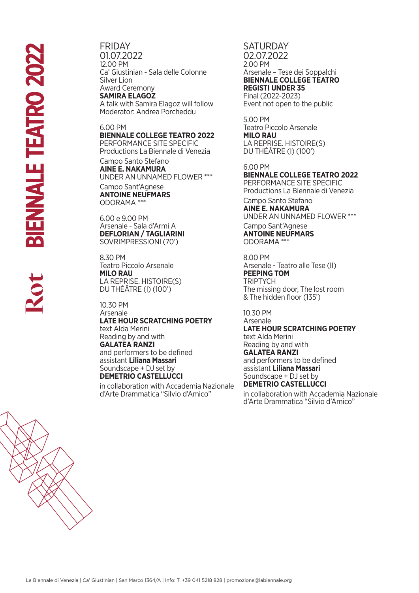# FRIDAY

01.07.2022 12.00 PM Ca' Giustinian - Sala delle Colonne Silver Lion Award Ceremony **SAMIRA ELAGOZ**

A talk with Samira Elagoz will follow Moderator: Andrea Porcheddu

## 6.00 PM

## **BIENNALE COLLEGE TEATRO 2022**

PERFORMANCE SITE SPECIFIC Productions La Biennale di Venezia

Campo Santo Stefano **AINE E. NAKAMURA** UNDER AN UNNAMED FLOWER \*\*\* Campo Sant'Agnese **ANTOINE NEUFMARS**

ODORAMA \*\*\*

6.00 e 9.00 PM Arsenale - Sala d'Armi A **DEFLORIAN / TAGLIARINI**  SOVRIMPRESSIONI (70')

8.30 PM Teatro Piccolo Arsenale **MILO RAU** LA REPRISE. HISTOIRE(S) DU THÉÂTRE (I) (100')

10.30 PM Arsenale **LATE HOUR SCRATCHING POETRY** text Alda Merini Reading by and with **GALATEA RANZI**  and performers to be defined assistant **Liliana Massari** Soundscape + DJ set by

# **DEMETRIO CASTELLUCCI**

in collaboration with Accademia Nazionale d'Arte Drammatica "Silvio d'Amico"

## **SATURDAY** 02.07.2022 2.00 PM Arsenale – Tese dei Soppalchi **BIENNALE COLLEGE TEATRO REGISTI UNDER 35** Final (2022-2023)

Event not open to the public

5.00 PM Teatro Piccolo Arsenale **MILO RAU** LA REPRISE. HISTOIRE(S) DU THÉÂTRE (I) (100')

6.00 PM **BIENNALE COLLEGE TEATRO 2022**  PERFORMANCE SITE SPECIFIC

Productions La Biennale di Venezia Campo Santo Stefano

# **AINE E. NAKAMURA** UNDER AN UNNAMED FLOWER \*\*\*

Campo Sant'Agnese **ANTOINE NEUFMARS** ODORAMA \*\*\*

8.00 PM Arsenale - Teatro alle Tese (II) **PEEPING TOM** TRIPTYCH The missing door, The lost room & The hidden floor (135')

10.30 PM

Arsenale **LATE HOUR SCRATCHING POETRY** text Alda Merini Reading by and with **GALATEA RANZI**  and performers to be defined assistant **Liliana Massari** Soundscape + DJ set by **DEMETRIO CASTELLUCCI**